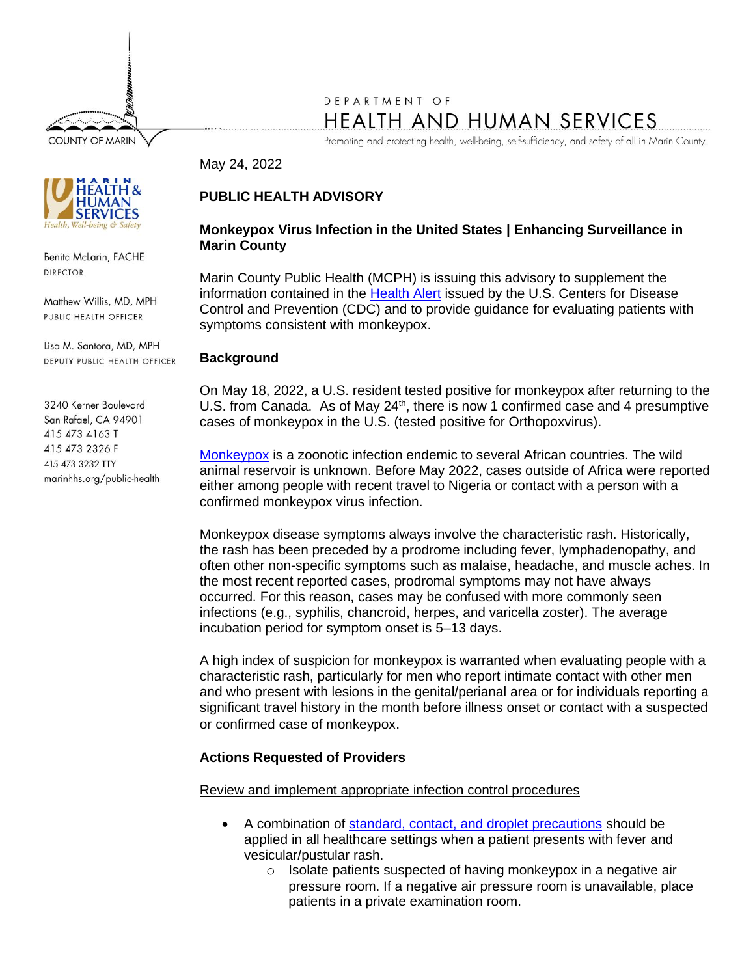**COUNTY OF MARIN** 

# DEPARTMENT OF HEALTH AND HUMAN SERVICES

Promoting and protecting health, well-being, self-sufficiency, and safety of all in Marin County.

#### May 24, 2022

# **PUBLIC HEALTH ADVISORY**

# **Monkeypox Virus Infection in the United States | Enhancing Surveillance in Marin County**

Marin County Public Health (MCPH) is issuing this advisory to supplement the information contained in the [Health Alert](https://emergency.cdc.gov/han/2022/pdf/CDC_HAN_466.pdf) issued by the U.S. Centers for Disease Control and Prevention (CDC) and to provide guidance for evaluating patients with symptoms consistent with monkeypox.

#### **Background**

On May 18, 2022, a U.S. resident tested positive for monkeypox after returning to the U.S. from Canada. As of May  $24<sup>th</sup>$ , there is now 1 confirmed case and 4 presumptive cases of monkeypox in the U.S. (tested positive for Orthopoxvirus).

[Monkeypox](https://www.cdc.gov/poxvirus/monkeypox/) is a zoonotic infection endemic to several African countries. The wild animal reservoir is unknown. Before May 2022, cases outside of Africa were reported either among people with recent travel to Nigeria or contact with a person with a confirmed monkeypox virus infection.

Monkeypox disease symptoms always involve the characteristic rash. Historically, the rash has been preceded by a prodrome including fever, lymphadenopathy, and often other non-specific symptoms such as malaise, headache, and muscle aches. In the most recent reported cases, prodromal symptoms may not have always occurred. For this reason, cases may be confused with more commonly seen infections (e.g., syphilis, chancroid, herpes, and varicella zoster). The average incubation period for symptom onset is 5–13 days.

A high index of suspicion for monkeypox is warranted when evaluating people with a characteristic rash, particularly for men who report intimate contact with other men and who present with lesions in the genital/perianal area or for individuals reporting a significant travel history in the month before illness onset or contact with a suspected or confirmed case of monkeypox.

# **Actions Requested of Providers**

Review and implement appropriate infection control procedures

- A combination of [standard, contact, and droplet precautions](https://www.cdc.gov/hicpac/pdf/isolation/Isolation2007.pdf) should be applied in all healthcare settings when a patient presents with fever and vesicular/pustular rash.
	- o Isolate patients suspected of having monkeypox in a negative air pressure room. If a negative air pressure room is unavailable, place patients in a private examination room.



Benita McLarin, FACHE **DIRECTOR** 

Matthew Willis, MD, MPH PUBLIC HEALTH OFFICER

Lisa M. Santora, MD, MPH DEPUTY PUBLIC HEALTH OFFICER

3240 Kerner Boulevard San Rafael, CA 94901 415 473 4163 T 415 473 2326 F 415 473 3232 TTY marinhhs.org/public-health